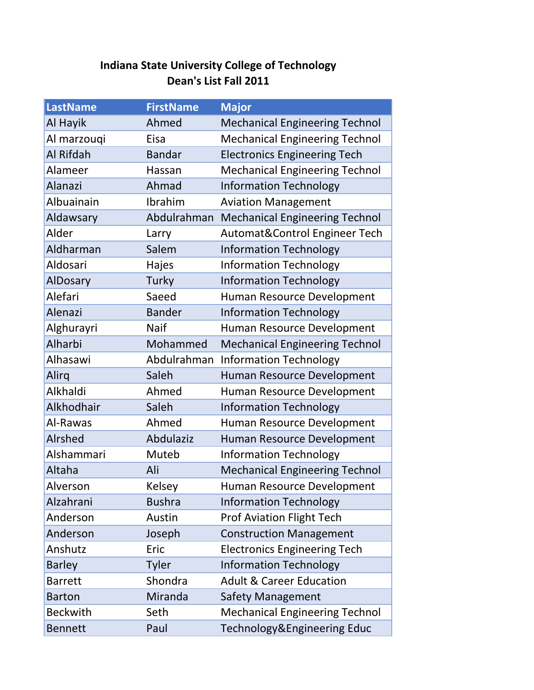## **Indiana State University College of Technology Dean's List Fall 2011**

| <b>LastName</b> | <b>FirstName</b> | <b>Major</b>                          |
|-----------------|------------------|---------------------------------------|
| Al Hayik        | Ahmed            | <b>Mechanical Engineering Technol</b> |
| Al marzouqi     | Eisa             | <b>Mechanical Engineering Technol</b> |
| Al Rifdah       | <b>Bandar</b>    | <b>Electronics Engineering Tech</b>   |
| Alameer         | Hassan           | <b>Mechanical Engineering Technol</b> |
| <b>Alanazi</b>  | Ahmad            | <b>Information Technology</b>         |
| Albuainain      | Ibrahim          | <b>Aviation Management</b>            |
| Aldawsary       | Abdulrahman      | <b>Mechanical Engineering Technol</b> |
| Alder           | Larry            | Automat&Control Engineer Tech         |
| Aldharman       | Salem            | <b>Information Technology</b>         |
| Aldosari        | Hajes            | <b>Information Technology</b>         |
| <b>AlDosary</b> | Turky            | <b>Information Technology</b>         |
| Alefari         | Saeed            | Human Resource Development            |
| Alenazi         | <b>Bander</b>    | <b>Information Technology</b>         |
| Alghurayri      | <b>Naif</b>      | Human Resource Development            |
| Alharbi         | Mohammed         | <b>Mechanical Engineering Technol</b> |
| Alhasawi        | Abdulrahman      | <b>Information Technology</b>         |
| Alirq           | Saleh            | Human Resource Development            |
| Alkhaldi        | Ahmed            | Human Resource Development            |
| Alkhodhair      | Saleh            | <b>Information Technology</b>         |
| Al-Rawas        | Ahmed            | Human Resource Development            |
| Alrshed         | Abdulaziz        | Human Resource Development            |
| Alshammari      | Muteb            | <b>Information Technology</b>         |
| Altaha          | Ali              | <b>Mechanical Engineering Technol</b> |
| Alverson        | <b>Kelsey</b>    | Human Resource Development            |
| Alzahrani       | <b>Bushra</b>    | <b>Information Technology</b>         |
| Anderson        | Austin           | <b>Prof Aviation Flight Tech</b>      |
| Anderson        | Joseph           | <b>Construction Management</b>        |
| Anshutz         | Eric             | <b>Electronics Engineering Tech</b>   |
| <b>Barley</b>   | <b>Tyler</b>     | <b>Information Technology</b>         |
| <b>Barrett</b>  | Shondra          | <b>Adult &amp; Career Education</b>   |
| <b>Barton</b>   | Miranda          | <b>Safety Management</b>              |
| <b>Beckwith</b> | Seth             | <b>Mechanical Engineering Technol</b> |
| <b>Bennett</b>  | Paul             | Technology&Engineering Educ           |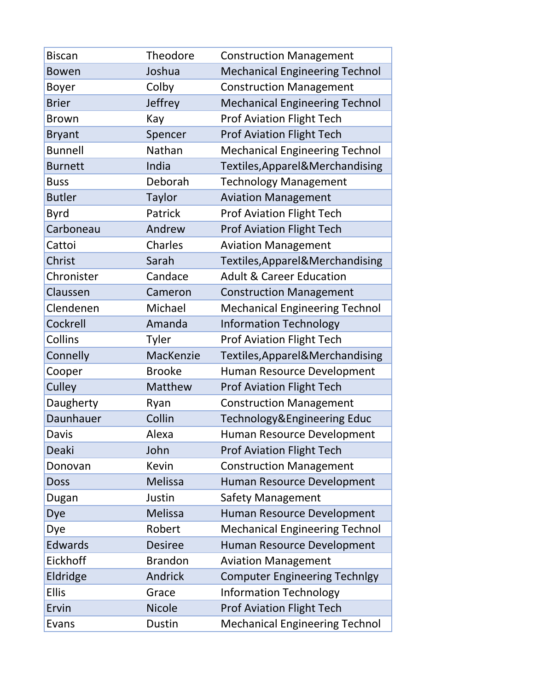| <b>Biscan</b>  | Theodore       | <b>Construction Management</b>        |
|----------------|----------------|---------------------------------------|
| <b>Bowen</b>   | Joshua         | <b>Mechanical Engineering Technol</b> |
| <b>Boyer</b>   | Colby          | <b>Construction Management</b>        |
| <b>Brier</b>   | <b>Jeffrey</b> | <b>Mechanical Engineering Technol</b> |
| <b>Brown</b>   | Kay            | <b>Prof Aviation Flight Tech</b>      |
| <b>Bryant</b>  | Spencer        | <b>Prof Aviation Flight Tech</b>      |
| <b>Bunnell</b> | Nathan         | <b>Mechanical Engineering Technol</b> |
| <b>Burnett</b> | India          | Textiles, Apparel & Merchandising     |
| <b>Buss</b>    | Deborah        | <b>Technology Management</b>          |
| <b>Butler</b>  | <b>Taylor</b>  | <b>Aviation Management</b>            |
| <b>Byrd</b>    | Patrick        | <b>Prof Aviation Flight Tech</b>      |
| Carboneau      | Andrew         | <b>Prof Aviation Flight Tech</b>      |
| Cattoi         | Charles        | <b>Aviation Management</b>            |
| Christ         | Sarah          | Textiles, Apparel & Merchandising     |
| Chronister     | Candace        | <b>Adult &amp; Career Education</b>   |
| Claussen       | Cameron        | <b>Construction Management</b>        |
| Clendenen      | Michael        | <b>Mechanical Engineering Technol</b> |
| Cockrell       | Amanda         | <b>Information Technology</b>         |
| Collins        | Tyler          | <b>Prof Aviation Flight Tech</b>      |
| Connelly       | MacKenzie      | Textiles, Apparel& Merchandising      |
| Cooper         | <b>Brooke</b>  | Human Resource Development            |
| Culley         | Matthew        | <b>Prof Aviation Flight Tech</b>      |
| Daugherty      | Ryan           | <b>Construction Management</b>        |
| Daunhauer      | Collin         | Technology&Engineering Educ           |
| Davis          | Alexa          | Human Resource Development            |
| Deaki          | John           | <b>Prof Aviation Flight Tech</b>      |
| Donovan        | <b>Kevin</b>   | <b>Construction Management</b>        |
| <b>Doss</b>    | Melissa        | Human Resource Development            |
| Dugan          | Justin         | Safety Management                     |
| Dye            | <b>Melissa</b> | Human Resource Development            |
| Dye            | Robert         | <b>Mechanical Engineering Technol</b> |
| Edwards        | <b>Desiree</b> | Human Resource Development            |
| Eickhoff       | <b>Brandon</b> | <b>Aviation Management</b>            |
| Eldridge       | Andrick        | <b>Computer Engineering Technlgy</b>  |
| <b>Ellis</b>   | Grace          | <b>Information Technology</b>         |
| Ervin          | <b>Nicole</b>  | <b>Prof Aviation Flight Tech</b>      |
| Evans          | Dustin         | <b>Mechanical Engineering Technol</b> |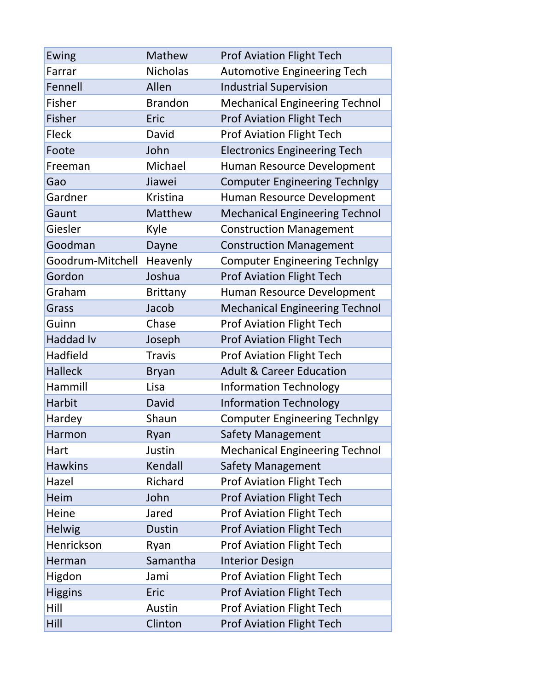| Ewing            | Mathew          | <b>Prof Aviation Flight Tech</b>      |
|------------------|-----------------|---------------------------------------|
| Farrar           | <b>Nicholas</b> | <b>Automotive Engineering Tech</b>    |
| Fennell          | Allen           | <b>Industrial Supervision</b>         |
| Fisher           | <b>Brandon</b>  | <b>Mechanical Engineering Technol</b> |
| <b>Fisher</b>    | Eric            | <b>Prof Aviation Flight Tech</b>      |
| <b>Fleck</b>     | David           | <b>Prof Aviation Flight Tech</b>      |
| Foote            | John            | <b>Electronics Engineering Tech</b>   |
| Freeman          | Michael         | Human Resource Development            |
| Gao              | Jiawei          | <b>Computer Engineering Technlgy</b>  |
| Gardner          | Kristina        | Human Resource Development            |
| Gaunt            | Matthew         | <b>Mechanical Engineering Technol</b> |
| Giesler          | Kyle            | <b>Construction Management</b>        |
| Goodman          | Dayne           | <b>Construction Management</b>        |
| Goodrum-Mitchell | Heavenly        | <b>Computer Engineering Technlgy</b>  |
| Gordon           | Joshua          | <b>Prof Aviation Flight Tech</b>      |
| Graham           | <b>Brittany</b> | Human Resource Development            |
| Grass            | Jacob           | <b>Mechanical Engineering Technol</b> |
| Guinn            | Chase           | <b>Prof Aviation Flight Tech</b>      |
| <b>Haddad Iv</b> | Joseph          | <b>Prof Aviation Flight Tech</b>      |
| Hadfield         | <b>Travis</b>   | <b>Prof Aviation Flight Tech</b>      |
| <b>Halleck</b>   | <b>Bryan</b>    | <b>Adult &amp; Career Education</b>   |
| Hammill          | Lisa            | <b>Information Technology</b>         |
| Harbit           | David           | <b>Information Technology</b>         |
| Hardey           | Shaun           | <b>Computer Engineering Technlgy</b>  |
| Harmon           | Ryan            | Safety Management                     |
| Hart             | Justin          | <b>Mechanical Engineering Technol</b> |
| <b>Hawkins</b>   | Kendall         | <b>Safety Management</b>              |
| Hazel            | Richard         | <b>Prof Aviation Flight Tech</b>      |
| Heim             | John            | <b>Prof Aviation Flight Tech</b>      |
| Heine            | Jared           | <b>Prof Aviation Flight Tech</b>      |
| <b>Helwig</b>    | <b>Dustin</b>   | <b>Prof Aviation Flight Tech</b>      |
| Henrickson       | Ryan            | <b>Prof Aviation Flight Tech</b>      |
| Herman           | Samantha        | <b>Interior Design</b>                |
| Higdon           | Jami            | <b>Prof Aviation Flight Tech</b>      |
| <b>Higgins</b>   | Eric            | <b>Prof Aviation Flight Tech</b>      |
| Hill             | Austin          | <b>Prof Aviation Flight Tech</b>      |
| Hill             | Clinton         | <b>Prof Aviation Flight Tech</b>      |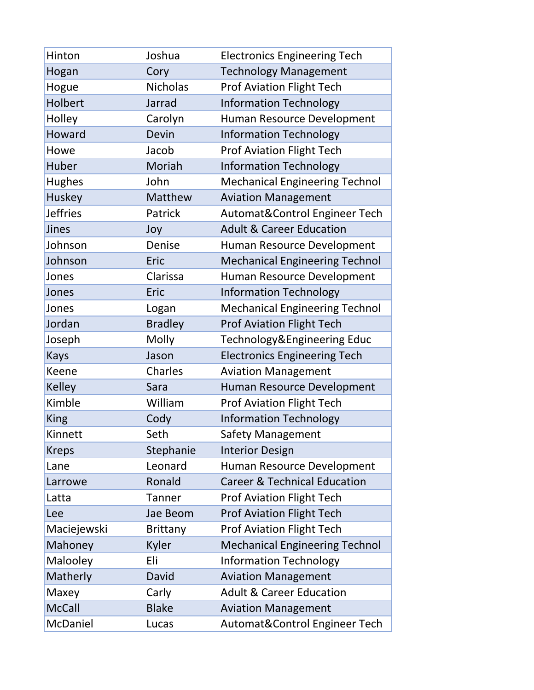| Hinton          | Joshua          | <b>Electronics Engineering Tech</b>     |
|-----------------|-----------------|-----------------------------------------|
| Hogan           | Cory            | <b>Technology Management</b>            |
| Hogue           | <b>Nicholas</b> | <b>Prof Aviation Flight Tech</b>        |
| Holbert         | Jarrad          | <b>Information Technology</b>           |
| Holley          | Carolyn         | Human Resource Development              |
| Howard          | Devin           | <b>Information Technology</b>           |
| Howe            | Jacob           | <b>Prof Aviation Flight Tech</b>        |
| Huber           | Moriah          | <b>Information Technology</b>           |
| <b>Hughes</b>   | John            | <b>Mechanical Engineering Technol</b>   |
| Huskey          | <b>Matthew</b>  | <b>Aviation Management</b>              |
| <b>Jeffries</b> | Patrick         | Automat&Control Engineer Tech           |
| Jines           | Joy             | <b>Adult &amp; Career Education</b>     |
| Johnson         | Denise          | Human Resource Development              |
| Johnson         | Eric            | <b>Mechanical Engineering Technol</b>   |
| Jones           | Clarissa        | Human Resource Development              |
| Jones           | Eric            | <b>Information Technology</b>           |
| Jones           | Logan           | <b>Mechanical Engineering Technol</b>   |
| Jordan          | <b>Bradley</b>  | Prof Aviation Flight Tech               |
| Joseph          | Molly           | Technology&Engineering Educ             |
| <b>Kays</b>     | Jason           | <b>Electronics Engineering Tech</b>     |
| Keene           | Charles         | <b>Aviation Management</b>              |
| <b>Kelley</b>   | Sara            | Human Resource Development              |
| Kimble          | William         | <b>Prof Aviation Flight Tech</b>        |
| <b>King</b>     | Cody            | <b>Information Technology</b>           |
| Kinnett         | Seth            | <b>Safety Management</b>                |
| <b>Kreps</b>    | Stephanie       | <b>Interior Design</b>                  |
| Lane            | Leonard         | Human Resource Development              |
| Larrowe         | Ronald          | <b>Career &amp; Technical Education</b> |
| Latta           | <b>Tanner</b>   | <b>Prof Aviation Flight Tech</b>        |
| Lee             | Jae Beom        | <b>Prof Aviation Flight Tech</b>        |
| Maciejewski     | <b>Brittany</b> | <b>Prof Aviation Flight Tech</b>        |
| Mahoney         | Kyler           | <b>Mechanical Engineering Technol</b>   |
| Malooley        | Eli             | <b>Information Technology</b>           |
| Matherly        | David           | <b>Aviation Management</b>              |
| Maxey           | Carly           | <b>Adult &amp; Career Education</b>     |
| <b>McCall</b>   | <b>Blake</b>    | <b>Aviation Management</b>              |
| McDaniel        | Lucas           | Automat&Control Engineer Tech           |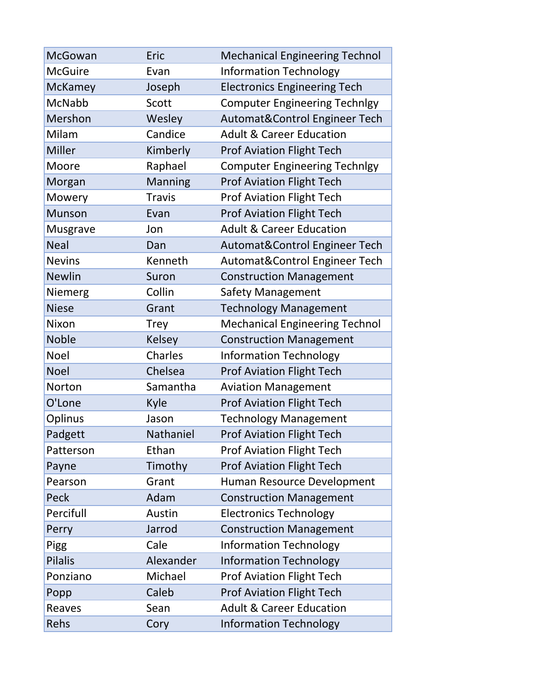| McGowan        | Eric          | <b>Mechanical Engineering Technol</b> |
|----------------|---------------|---------------------------------------|
| <b>McGuire</b> | Evan          | <b>Information Technology</b>         |
| <b>McKamey</b> | Joseph        | <b>Electronics Engineering Tech</b>   |
| <b>McNabb</b>  | Scott         | <b>Computer Engineering Technlgy</b>  |
| Mershon        | Wesley        | Automat&Control Engineer Tech         |
| Milam          | Candice       | <b>Adult &amp; Career Education</b>   |
| <b>Miller</b>  | Kimberly      | <b>Prof Aviation Flight Tech</b>      |
| Moore          | Raphael       | <b>Computer Engineering Technlgy</b>  |
| Morgan         | Manning       | <b>Prof Aviation Flight Tech</b>      |
| Mowery         | <b>Travis</b> | <b>Prof Aviation Flight Tech</b>      |
| <b>Munson</b>  | Evan          | <b>Prof Aviation Flight Tech</b>      |
| Musgrave       | Jon           | <b>Adult &amp; Career Education</b>   |
| <b>Neal</b>    | Dan           | Automat&Control Engineer Tech         |
| <b>Nevins</b>  | Kenneth       | Automat&Control Engineer Tech         |
| <b>Newlin</b>  | Suron         | <b>Construction Management</b>        |
| Niemerg        | Collin        | Safety Management                     |
| <b>Niese</b>   | Grant         | <b>Technology Management</b>          |
| Nixon          | <b>Trey</b>   | <b>Mechanical Engineering Technol</b> |
| <b>Noble</b>   | <b>Kelsey</b> | <b>Construction Management</b>        |
| <b>Noel</b>    | Charles       | <b>Information Technology</b>         |
| <b>Noel</b>    | Chelsea       | <b>Prof Aviation Flight Tech</b>      |
| Norton         | Samantha      | <b>Aviation Management</b>            |
| O'Lone         | Kyle          | <b>Prof Aviation Flight Tech</b>      |
| Oplinus        | Jason         | <b>Technology Management</b>          |
| Padgett        | Nathaniel     | <b>Prof Aviation Flight Tech</b>      |
| Patterson      | Ethan         | <b>Prof Aviation Flight Tech</b>      |
| Payne          | Timothy       | <b>Prof Aviation Flight Tech</b>      |
| Pearson        | Grant         | Human Resource Development            |
| Peck           | Adam          | <b>Construction Management</b>        |
| Percifull      | Austin        | <b>Electronics Technology</b>         |
| Perry          | Jarrod        | <b>Construction Management</b>        |
| Pigg           | Cale          | <b>Information Technology</b>         |
| <b>Pilalis</b> | Alexander     | <b>Information Technology</b>         |
| Ponziano       | Michael       | <b>Prof Aviation Flight Tech</b>      |
| Popp           | Caleb         | <b>Prof Aviation Flight Tech</b>      |
| Reaves         | Sean          | <b>Adult &amp; Career Education</b>   |
| Rehs           | Cory          | <b>Information Technology</b>         |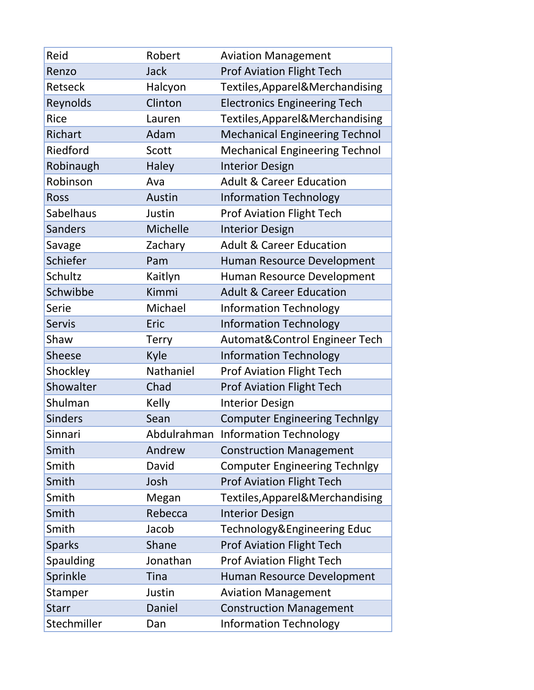| Reid           | Robert       | <b>Aviation Management</b>            |
|----------------|--------------|---------------------------------------|
| Renzo          | <b>Jack</b>  | <b>Prof Aviation Flight Tech</b>      |
| Retseck        | Halcyon      | Textiles, Apparel & Merchandising     |
| Reynolds       | Clinton      | <b>Electronics Engineering Tech</b>   |
| <b>Rice</b>    | Lauren       | Textiles, Apparel & Merchandising     |
| Richart        | Adam         | <b>Mechanical Engineering Technol</b> |
| Riedford       | Scott        | <b>Mechanical Engineering Technol</b> |
| Robinaugh      | Haley        | <b>Interior Design</b>                |
| Robinson       | Ava          | <b>Adult &amp; Career Education</b>   |
| <b>Ross</b>    | Austin       | <b>Information Technology</b>         |
| Sabelhaus      | Justin       | <b>Prof Aviation Flight Tech</b>      |
| <b>Sanders</b> | Michelle     | <b>Interior Design</b>                |
| Savage         | Zachary      | <b>Adult &amp; Career Education</b>   |
| Schiefer       | Pam          | Human Resource Development            |
| Schultz        | Kaitlyn      | Human Resource Development            |
| Schwibbe       | Kimmi        | <b>Adult &amp; Career Education</b>   |
| Serie          | Michael      | <b>Information Technology</b>         |
| <b>Servis</b>  | Eric         | <b>Information Technology</b>         |
| Shaw           | <b>Terry</b> | Automat&Control Engineer Tech         |
| <b>Sheese</b>  | Kyle         | <b>Information Technology</b>         |
| Shockley       | Nathaniel    | <b>Prof Aviation Flight Tech</b>      |
| Showalter      | Chad         | <b>Prof Aviation Flight Tech</b>      |
| Shulman        | Kelly        | <b>Interior Design</b>                |
| <b>Sinders</b> | Sean         | <b>Computer Engineering Technlgy</b>  |
| Sinnari        |              | Abdulrahman Information Technology    |
| Smith          | Andrew       | <b>Construction Management</b>        |
| Smith          | David        | <b>Computer Engineering Technlgy</b>  |
| Smith          | Josh         | <b>Prof Aviation Flight Tech</b>      |
| Smith          | Megan        | Textiles, Apparel & Merchandising     |
| Smith          | Rebecca      | <b>Interior Design</b>                |
| Smith          | Jacob        | Technology&Engineering Educ           |
| <b>Sparks</b>  | Shane        | <b>Prof Aviation Flight Tech</b>      |
| Spaulding      | Jonathan     | Prof Aviation Flight Tech             |
| Sprinkle       | <b>Tina</b>  | Human Resource Development            |
| Stamper        | Justin       | <b>Aviation Management</b>            |
| <b>Starr</b>   | Daniel       | <b>Construction Management</b>        |
| Stechmiller    | Dan          | <b>Information Technology</b>         |